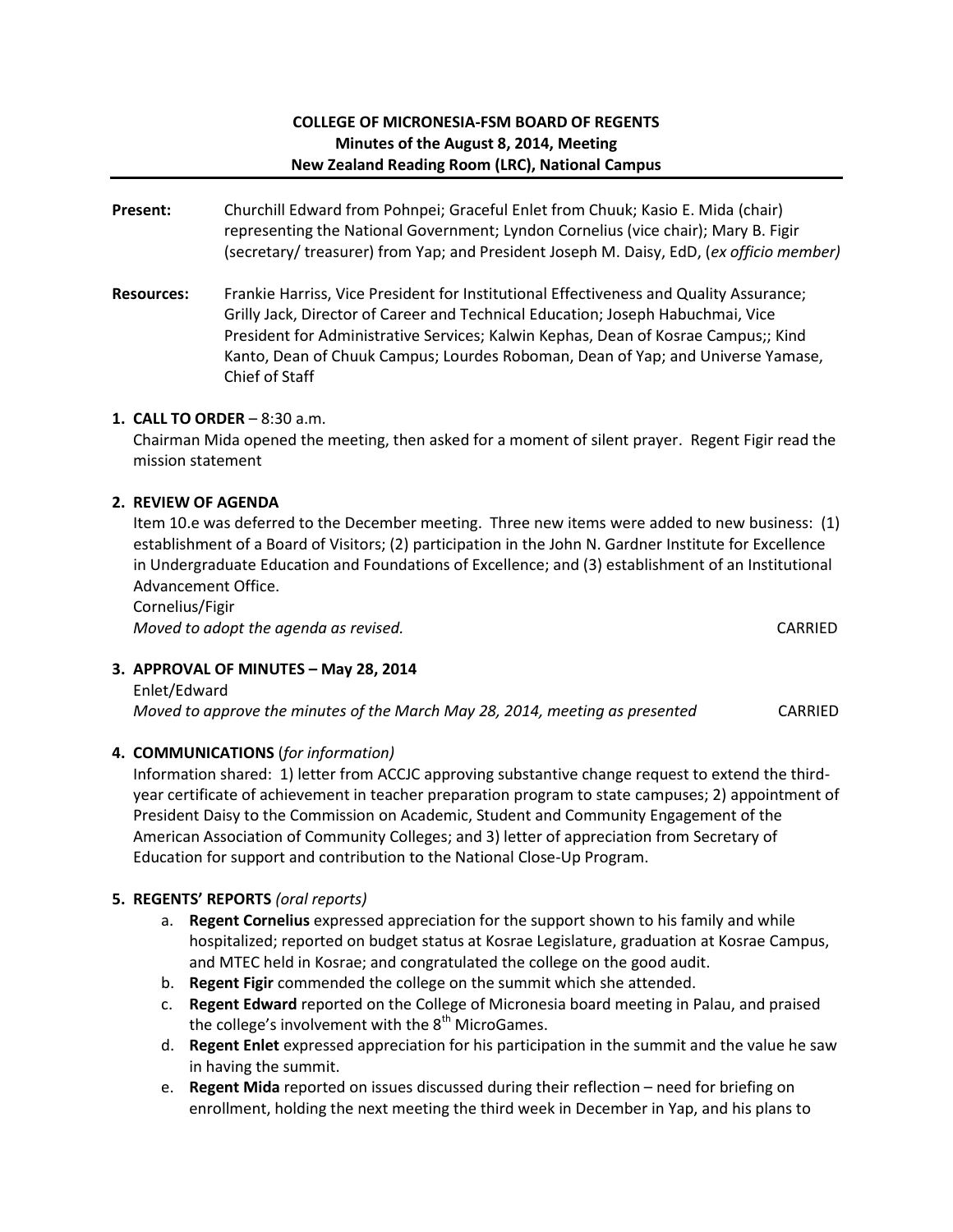## **COLLEGE OF MICRONESIA-FSM BOARD OF REGENTS Minutes of the August 8, 2014, Meeting New Zealand Reading Room (LRC), National Campus**

- **Present:** Churchill Edward from Pohnpei; Graceful Enlet from Chuuk; Kasio E. Mida (chair) representing the National Government; Lyndon Cornelius (vice chair); Mary B. Figir (secretary/ treasurer) from Yap; and President Joseph M. Daisy, EdD, (*ex officio member)*
- **Resources:** Frankie Harriss, Vice President for Institutional Effectiveness and Quality Assurance; Grilly Jack, Director of Career and Technical Education; Joseph Habuchmai, Vice President for Administrative Services; Kalwin Kephas, Dean of Kosrae Campus;; Kind Kanto, Dean of Chuuk Campus; Lourdes Roboman, Dean of Yap; and Universe Yamase, Chief of Staff

## **1. CALL TO ORDER** – 8:30 a.m.

Chairman Mida opened the meeting, then asked for a moment of silent prayer. Regent Figir read the mission statement

## **2. REVIEW OF AGENDA**

Item 10.e was deferred to the December meeting. Three new items were added to new business: (1) establishment of a Board of Visitors; (2) participation in the John N. Gardner Institute for Excellence in Undergraduate Education and Foundations of Excellence; and (3) establishment of an Institutional Advancement Office.

Cornelius/Figir *Moved to adopt the agenda as revised.*  $\blacksquare$ 

# **3. APPROVAL OF MINUTES – May 28, 2014**

Enlet/Edward *Moved to approve the minutes of the March May 28, 2014, meeting as presented* CARRIED

### **4. COMMUNICATIONS** (*for information)*

Information shared: 1) letter from ACCJC approving substantive change request to extend the thirdyear certificate of achievement in teacher preparation program to state campuses; 2) appointment of President Daisy to the Commission on Academic, Student and Community Engagement of the American Association of Community Colleges; and 3) letter of appreciation from Secretary of Education for support and contribution to the National Close-Up Program.

### **5. REGENTS' REPORTS** *(oral reports)*

- a. **Regent Cornelius** expressed appreciation for the support shown to his family and while hospitalized; reported on budget status at Kosrae Legislature, graduation at Kosrae Campus, and MTEC held in Kosrae; and congratulated the college on the good audit.
- b. **Regent Figir** commended the college on the summit which she attended.
- c. **Regent Edward** reported on the College of Micronesia board meeting in Palau, and praised the college's involvement with the  $8<sup>th</sup>$  MicroGames.
- d. **Regent Enlet** expressed appreciation for his participation in the summit and the value he saw in having the summit.
- e. **Regent Mida** reported on issues discussed during their reflection need for briefing on enrollment, holding the next meeting the third week in December in Yap, and his plans to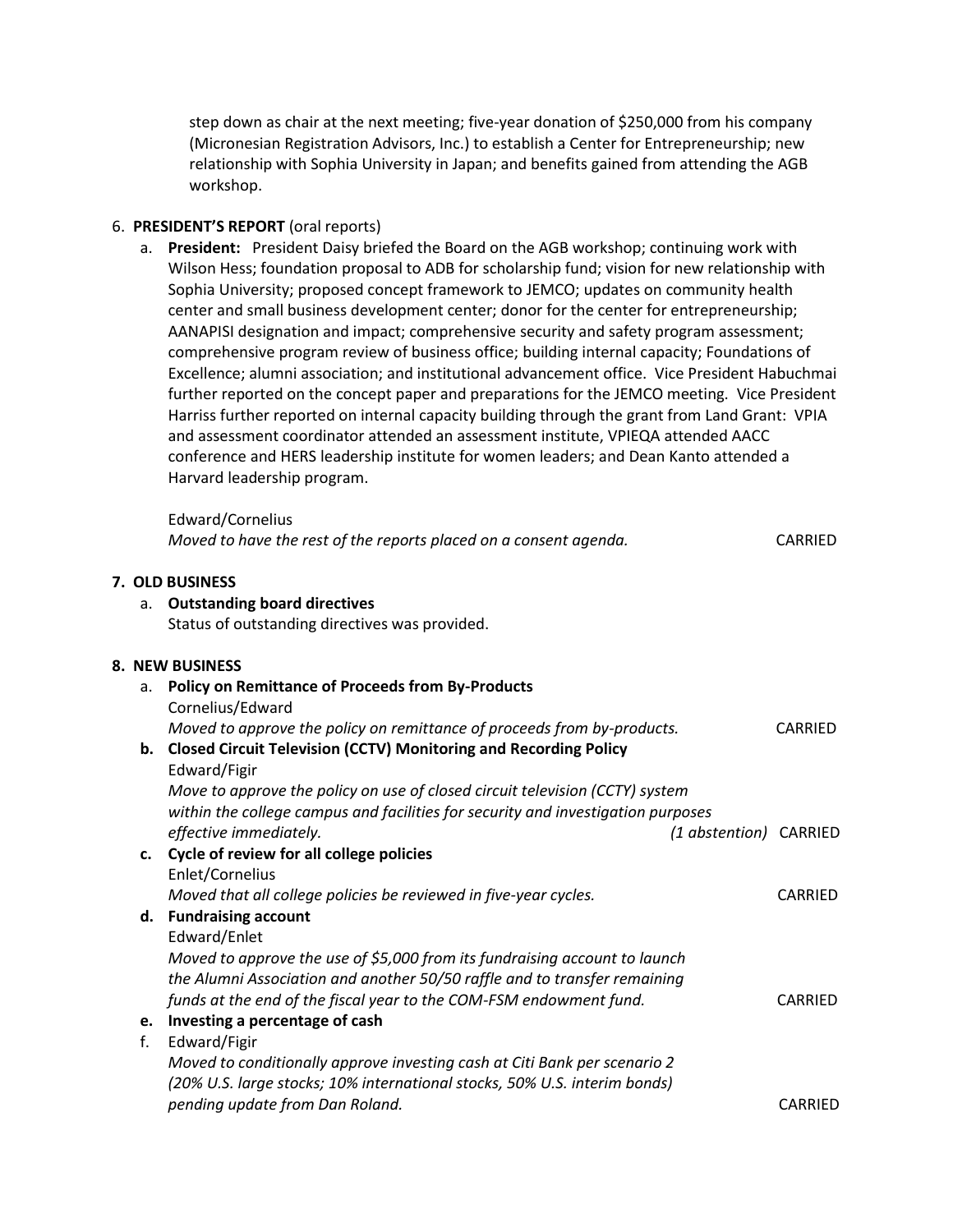step down as chair at the next meeting; five-year donation of \$250,000 from his company (Micronesian Registration Advisors, Inc.) to establish a Center for Entrepreneurship; new relationship with Sophia University in Japan; and benefits gained from attending the AGB workshop.

### 6. **PRESIDENT'S REPORT** (oral reports)

**7. OLD BUSINESS**

a. **President:** President Daisy briefed the Board on the AGB workshop; continuing work with Wilson Hess; foundation proposal to ADB for scholarship fund; vision for new relationship with Sophia University; proposed concept framework to JEMCO; updates on community health center and small business development center; donor for the center for entrepreneurship; AANAPISI designation and impact; comprehensive security and safety program assessment; comprehensive program review of business office; building internal capacity; Foundations of Excellence; alumni association; and institutional advancement office. Vice President Habuchmai further reported on the concept paper and preparations for the JEMCO meeting. Vice President Harriss further reported on internal capacity building through the grant from Land Grant: VPIA and assessment coordinator attended an assessment institute, VPIEQA attended AACC conference and HERS leadership institute for women leaders; and Dean Kanto attended a Harvard leadership program.

|    | Edward/Cornelius                                                                 |                |
|----|----------------------------------------------------------------------------------|----------------|
|    | Moved to have the rest of the reports placed on a consent agenda.                | <b>CARRIED</b> |
|    | 7. OLD BUSINESS                                                                  |                |
| а. | <b>Outstanding board directives</b>                                              |                |
|    | Status of outstanding directives was provided.                                   |                |
|    | 8. NEW BUSINESS                                                                  |                |
| a. | <b>Policy on Remittance of Proceeds from By-Products</b>                         |                |
|    | Cornelius/Edward                                                                 |                |
|    | Moved to approve the policy on remittance of proceeds from by-products.          | CARRIED        |
|    | b. Closed Circuit Television (CCTV) Monitoring and Recording Policy              |                |
|    | Edward/Figir                                                                     |                |
|    | Move to approve the policy on use of closed circuit television (CCTY) system     |                |
|    | within the college campus and facilities for security and investigation purposes |                |
|    | effective immediately.<br>(1 abstention) CARRIED                                 |                |
|    | c. Cycle of review for all college policies                                      |                |
|    | Enlet/Cornelius                                                                  |                |
|    | Moved that all college policies be reviewed in five-year cycles.                 | <b>CARRIED</b> |
|    | d. Fundraising account                                                           |                |
|    | Edward/Enlet                                                                     |                |
|    | Moved to approve the use of \$5,000 from its fundraising account to launch       |                |
|    | the Alumni Association and another 50/50 raffle and to transfer remaining        |                |
|    | funds at the end of the fiscal year to the COM-FSM endowment fund.               | CARRIED        |
|    | e. Investing a percentage of cash                                                |                |
| f. | Edward/Figir                                                                     |                |
|    | Moved to conditionally approve investing cash at Citi Bank per scenario 2        |                |
|    | (20% U.S. large stocks; 10% international stocks, 50% U.S. interim bonds)        |                |
|    | pending update from Dan Roland.                                                  | CARRIED        |